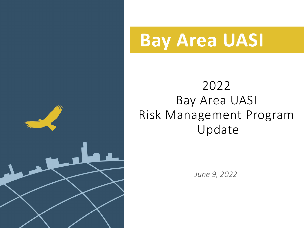

# **Bay Area UASI**

### 2022 Bay Area UASI Risk Management Program Update

*June 9, 2022*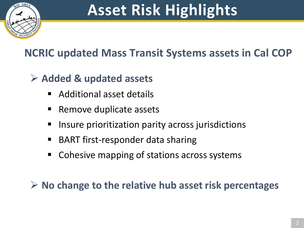

## **Asset Risk Highlights**

#### **NCRIC updated Mass Transit Systems assets in Cal COP**

#### **Added & updated assets**

- Additional asset details
- **Remove duplicate assets**
- **IF Insure prioritization parity across jurisdictions**
- BART first-responder data sharing
- Cohesive mapping of stations across systems

**No change to the relative hub asset risk percentages**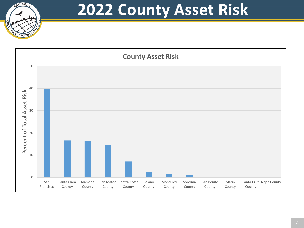

### **2022 County Asset Risk**

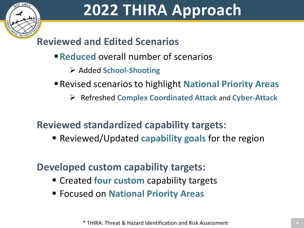

#### **Reviewed and Edited Scenarios**

- **Reduced** overall number of scenarios
	- Added **School-Shooting**
- Revised scenarios to highlight **National Priority Areas**
	- Refreshed **Complex Coordinated Attack** and **Cyber-Attack**

#### **Reviewed standardized capability targets:**

**Reviewed/Updated capability goals for the region** 

#### **Developed custom capability targets:**

- **Example 2 Created four custom** capability targets
- Focused on **National Priority Areas**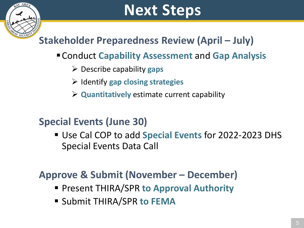## **Next Steps**

#### **Stakeholder Preparedness Review (April – July)**

#### Conduct **Capability Assessment** and **Gap Analysis**

- Describe capability **gaps**
- Identify **gap closing strategies**
- **Quantitatively** estimate current capability

#### **Special Events (June 30)**

 Use Cal COP to add **Special Events** for 2022-2023 DHS Special Events Data Call

#### **Approve & Submit (November – December)**

- Present THIRA/SPR **to Approval Authority**
- Submit THIRA/SPR **to FEMA**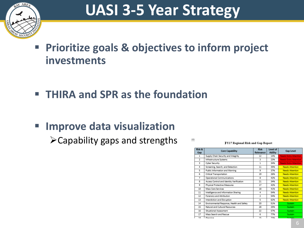

## **UASI 3-5 Year Strategy**

- **Prioritize goals & objectives to inform project investments**
- **THIRA and SPR as the foundation**
- **Improve data visualization**

 $\triangleright$  Capability gaps and strengths

FY17 Regional Risk and Gap Report

| Risk &<br>Gap  | <b>Core Capability</b>                    | <b>Risk</b><br>Relevance | Level of<br><b>Ability</b> | <b>Gap Level</b>             |
|----------------|-------------------------------------------|--------------------------|----------------------------|------------------------------|
| 1              | Supply Chain Security and Integrity       | 12                       | 14%                        | <b>Needs Extra Attention</b> |
| $\overline{2}$ | Infrastructure Systems                    | з                        | 23%                        | <b>Needs Extra Attention</b> |
| 3              | Cyber Security                            | $\mathbf{1}$             | 34%                        | <b>Needs Extra Attention</b> |
| 4              | Screening, Search, and Detection          | 11                       | 35%                        | <b>Needs Attention</b>       |
| 5              | Public Information and Warning            | 9                        | 37%                        | <b>Needs Attention</b>       |
| 6              | <b>Critical Transportation</b>            | 19                       | 26%                        | <b>Needs Attention</b>       |
| 7              | Operational Communications                | 8                        | 42%                        | <b>Needs Attention</b>       |
| s.             | Access Control and Identity Verification  | 21                       | 34%                        | <b>Needs Attention</b>       |
| 9              | Physical Protective Measures              | 17                       | 42%                        | <b>Needs Attention</b>       |
| 10             | Mass Care Services                        | 18                       | 41%                        | <b>Needs Attention</b>       |
| 11             | Intelligence and Information Sharing      | 4                        | 54%                        | <b>Needs Attention</b>       |
| 12             | Forensics and Attribution                 | 2                        | 54%                        | <b>Needs Attention</b>       |
| 13             | Interdiction and Disruption               | 5                        | 62%                        | <b>Needs Attention</b>       |
| 14             | Environmental Response, Health and Safety | 20                       | 51%                        | Sustain                      |
| 15             | Natural and Cultural Resources            | 28                       | 25%                        | Sustain                      |
| 16             | Situational Assessment                    | 22                       | 57%                        | Sustain                      |
| 17             | Mass Search and Rescue                    | 6                        | 77%                        | <b>Sustain</b>               |
| 12             | Planning                                  | 15                       | 7204                       | <b>Cuetain</b>               |